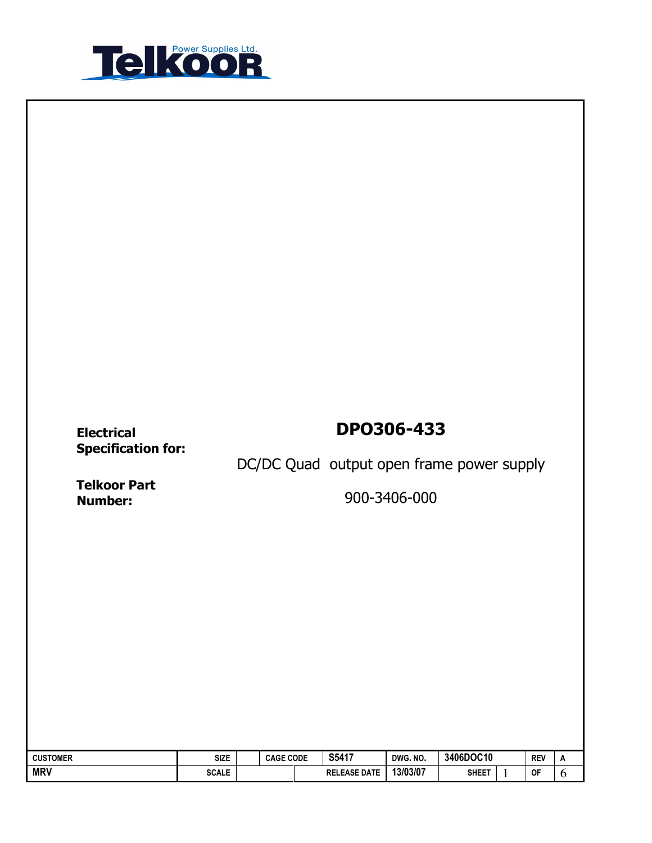

# Specification for:

## Electrical DPO306-433

DC/DC Quad output open frame power supply

Telkoor Part<br>Number:

Number: 900-3406-000

| <b>CUSTOMER</b> | <b>SIZE</b>  | <b>CAGE CODE</b> | S5417               | DWG, NO. | 3406DOC10    | <b>REV</b> | A |
|-----------------|--------------|------------------|---------------------|----------|--------------|------------|---|
| <b>MRV</b>      | <b>SCALE</b> |                  | <b>RELEASE DATE</b> | 13/03/07 | <b>SHEET</b> | <b>OF</b>  | ν |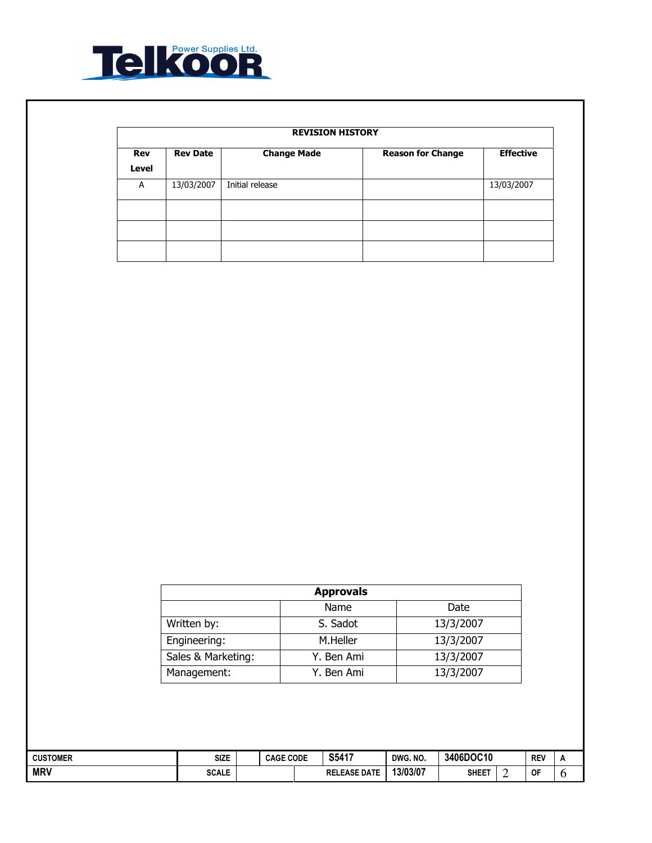

|                     | <b>REVISION HISTORY</b> |                    |                          |                  |  |  |  |  |  |  |  |
|---------------------|-------------------------|--------------------|--------------------------|------------------|--|--|--|--|--|--|--|
| <b>Rev</b><br>Level | <b>Rev Date</b>         | <b>Change Made</b> | <b>Reason for Change</b> | <b>Effective</b> |  |  |  |  |  |  |  |
| A                   | 13/03/2007              | Initial release    |                          | 13/03/2007       |  |  |  |  |  |  |  |
|                     |                         |                    |                          |                  |  |  |  |  |  |  |  |
|                     |                         |                    |                          |                  |  |  |  |  |  |  |  |
|                     |                         |                    |                          |                  |  |  |  |  |  |  |  |

| <b>Approvals</b>   |            |           |  |  |  |  |  |  |  |
|--------------------|------------|-----------|--|--|--|--|--|--|--|
| Name<br>Date       |            |           |  |  |  |  |  |  |  |
| Written by:        | S. Sadot   | 13/3/2007 |  |  |  |  |  |  |  |
| Engineering:       | M.Heller   | 13/3/2007 |  |  |  |  |  |  |  |
| Sales & Marketing: | Y. Ben Ami | 13/3/2007 |  |  |  |  |  |  |  |
| Management:        | Y. Ben Ami | 13/3/2007 |  |  |  |  |  |  |  |

| <b>CUSTOMER</b> | Size         | <b>CAGE CODE</b> |  | S5417                            | DWG. NO. | 3406DOC10    |  | <b>REV</b> |  |
|-----------------|--------------|------------------|--|----------------------------------|----------|--------------|--|------------|--|
| <b>MRV</b>      | <b>SCALE</b> |                  |  | <b>LEASE DATE</b><br><b>RELE</b> | 13/03/07 | <b>SHEET</b> |  | OF         |  |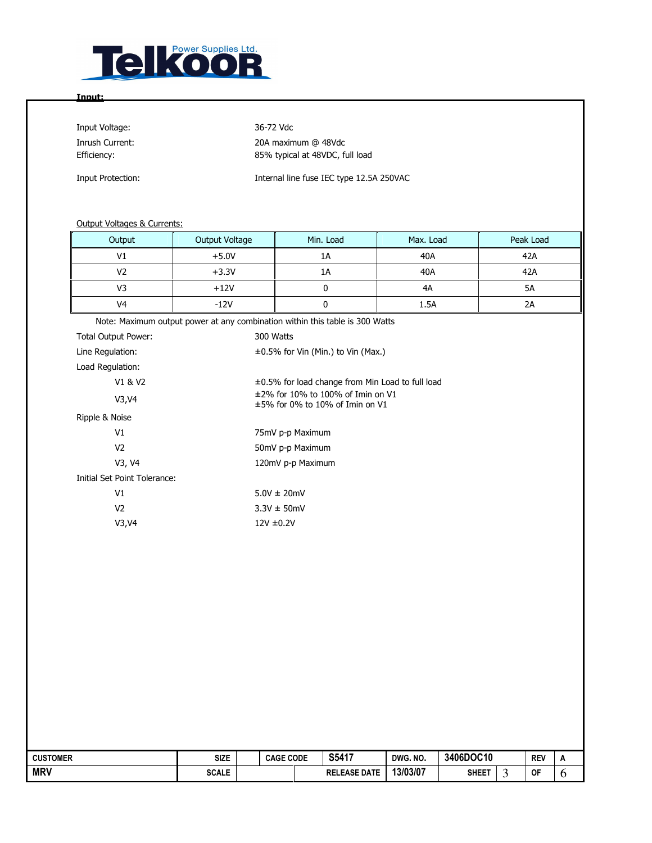

#### Input:

Input Voltage: 36-72 Vdc

Inrush Current: 20A maximum @ 48Vdc Efficiency: 85% typical at 48VDC, full load

Input Protection: Internal line fuse IEC type 12.5A 250VAC

#### Output Voltages & Currents:

| Output              | Output Voltage                                                               | Min. Load                                                                    | Max. Load | Peak Load |  |  |  |  |  |  |  |  |
|---------------------|------------------------------------------------------------------------------|------------------------------------------------------------------------------|-----------|-----------|--|--|--|--|--|--|--|--|
| V <sub>1</sub>      | $+5.0V$                                                                      | 1A                                                                           | 40A       | 42A       |  |  |  |  |  |  |  |  |
| V <sub>2</sub>      | $+3.3V$                                                                      | 1A                                                                           | 40A       | 42A       |  |  |  |  |  |  |  |  |
| V <sub>3</sub>      | $+12V$                                                                       | 0                                                                            | 4A        | 5A        |  |  |  |  |  |  |  |  |
| V4                  | $-12V$                                                                       | 0                                                                            | 1.5A      | 2A        |  |  |  |  |  |  |  |  |
|                     | Note: Maximum output power at any combination within this table is 300 Watts |                                                                              |           |           |  |  |  |  |  |  |  |  |
| Total Output Power: |                                                                              | 300 Watts                                                                    |           |           |  |  |  |  |  |  |  |  |
| Line Regulation:    |                                                                              | $\pm 0.5\%$ for Vin (Min.) to Vin (Max.)                                     |           |           |  |  |  |  |  |  |  |  |
| Load Regulation:    |                                                                              |                                                                              |           |           |  |  |  |  |  |  |  |  |
| V1 & V2             |                                                                              | ±0.5% for load change from Min Load to full load                             |           |           |  |  |  |  |  |  |  |  |
| V3, V4              |                                                                              | $±2\%$ for 10% to 100% of Imin on V1<br>$\pm$ 5% for 0% to 10% of Imin on V1 |           |           |  |  |  |  |  |  |  |  |
| Ripple & Noise      |                                                                              |                                                                              |           |           |  |  |  |  |  |  |  |  |

| V1                           | 75mV p-p Maximum  |
|------------------------------|-------------------|
| V2                           | 50mV p-p Maximum  |
| V3, V4                       | 120mV p-p Maximum |
| Initial Set Point Tolerance: |                   |
| V1                           | $5.0V \pm 20mV$   |
| V2                           | $3.3V \pm 50$ mV  |
| V3, V4                       | $12V \pm 0.2V$    |

| <b>CUSTOMER</b> | SIZE         | <b>CAGE CODE</b> | S5417               | DWG. NO. | 3406DOC10    |  | <b>REV</b> | <u>n</u> |
|-----------------|--------------|------------------|---------------------|----------|--------------|--|------------|----------|
| <b>MRV</b>      | <b>SCALE</b> |                  | <b>RELEASE DATE</b> | 13/03/07 | <b>SHEET</b> |  | <b>OF</b>  | ິ        |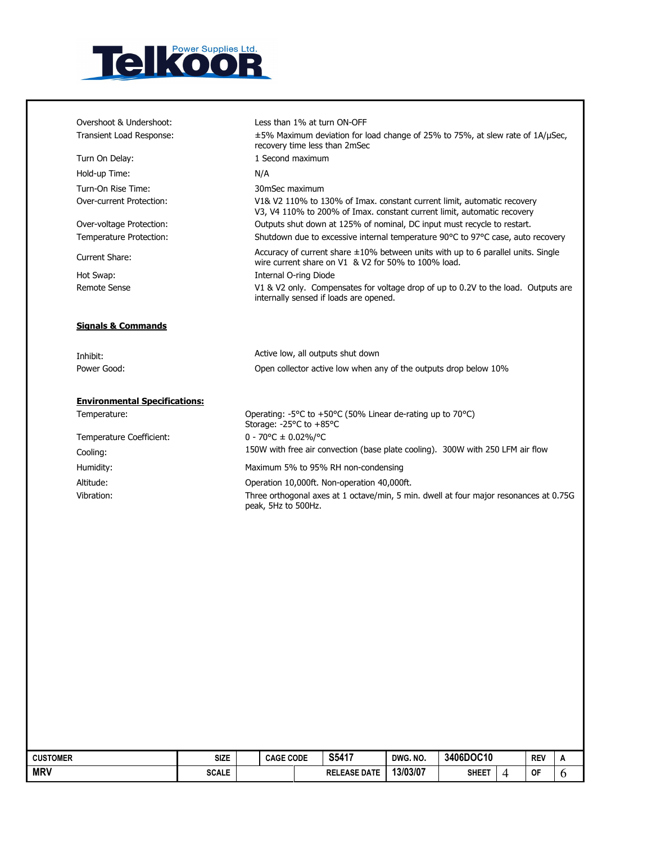

ֺֺ

| Overshoot & Undershoot:                              | Less than 1% at turn ON-OFF                                                                                                                        |
|------------------------------------------------------|----------------------------------------------------------------------------------------------------------------------------------------------------|
| Transient Load Response:                             | ±5% Maximum deviation for load change of 25% to 75%, at slew rate of 1A/µSec,<br>recovery time less than 2mSec                                     |
| Turn On Delay:                                       | 1 Second maximum                                                                                                                                   |
| Hold-up Time:                                        | N/A                                                                                                                                                |
| Turn-On Rise Time:                                   | 30mSec maximum                                                                                                                                     |
| Over-current Protection:                             | V1& V2 110% to 130% of Imax. constant current limit, automatic recovery<br>V3, V4 110% to 200% of Imax. constant current limit, automatic recovery |
| Over-voltage Protection:                             | Outputs shut down at 125% of nominal, DC input must recycle to restart.                                                                            |
| Temperature Protection:                              | Shutdown due to excessive internal temperature 90°C to 97°C case, auto recovery                                                                    |
| Current Share:                                       | Accuracy of current share $\pm 10\%$ between units with up to 6 parallel units. Single<br>wire current share on V1 & V2 for 50% to 100% load.      |
| Hot Swap:                                            | Internal O-ring Diode                                                                                                                              |
| <b>Remote Sense</b>                                  | V1 & V2 only. Compensates for voltage drop of up to 0.2V to the load. Outputs are                                                                  |
| <b>Signals &amp; Commands</b>                        | internally sensed if loads are opened.                                                                                                             |
|                                                      |                                                                                                                                                    |
| Inhibit:<br>Power Good:                              | Active low, all outputs shut down<br>Open collector active low when any of the outputs drop below 10%                                              |
|                                                      |                                                                                                                                                    |
| <b>Environmental Specifications:</b><br>Temperature: | Operating: -5°C to +50°C (50% Linear de-rating up to 70°C)<br>Storage: -25°C to +85°C                                                              |
| Temperature Coefficient:                             | $0 - 70$ °C ± 0.02%/°C                                                                                                                             |
|                                                      | 150W with free air convection (base plate cooling). 300W with 250 LFM air flow                                                                     |
| Cooling:<br>Humidity:                                | Maximum 5% to 95% RH non-condensing                                                                                                                |
| Altitude:                                            | Operation 10,000ft. Non-operation 40,000ft.                                                                                                        |

| <b>CUSTOMER</b> | <b>SIZE</b>  | <b>CAGE CODE</b> | S5417               | DWG. NO. | 3406DOC10    |  | <b>REV</b> | A |
|-----------------|--------------|------------------|---------------------|----------|--------------|--|------------|---|
| <b>MRV</b>      | <b>SCALE</b> |                  | <b>RELEASE DATE</b> | 13/03/07 | <b>SHEET</b> |  | <b>OF</b>  |   |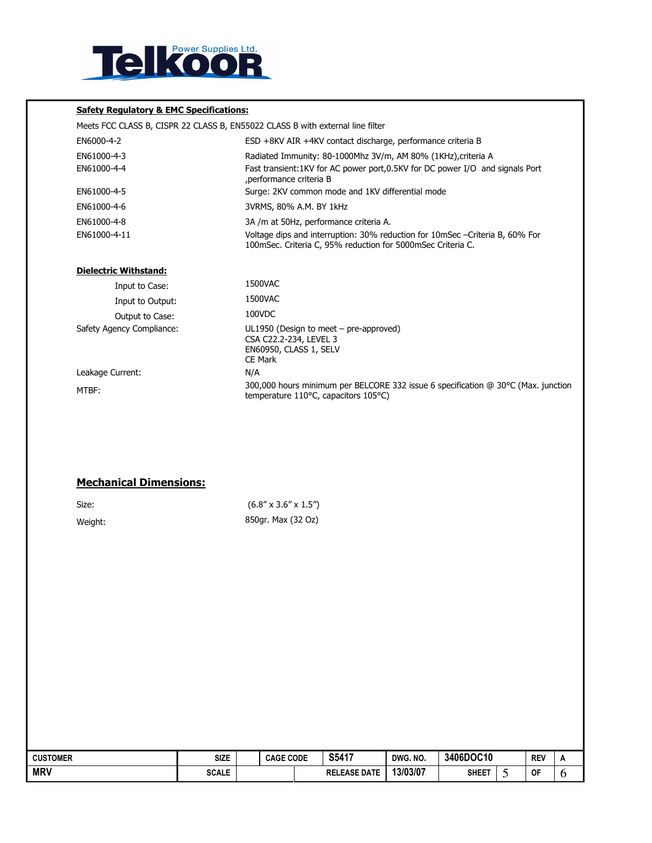

#### Safety Regulatory & EMC Specifications:

| Meets FCC CLASS B, CISPR 22 CLASS B, EN55022 CLASS B with external line filter |                                                                                                                                              |
|--------------------------------------------------------------------------------|----------------------------------------------------------------------------------------------------------------------------------------------|
| EN6000-4-2                                                                     | ESD +8KV AIR +4KV contact discharge, performance criteria B                                                                                  |
| EN61000-4-3                                                                    | Radiated Immunity: 80-1000Mhz 3V/m, AM 80% (1KHz), criteria A                                                                                |
| EN61000-4-4                                                                    | Fast transient:1KV for AC power port,0.5KV for DC power I/O and signals Port<br>, performance criteria B                                     |
| EN61000-4-5                                                                    | Surge: 2KV common mode and 1KV differential mode                                                                                             |
| EN61000-4-6                                                                    | 3VRMS, 80% A.M. BY 1kHz                                                                                                                      |
| EN61000-4-8                                                                    | 3A /m at 50Hz, performance criteria A.                                                                                                       |
| EN61000-4-11                                                                   | Voltage dips and interruption: 30% reduction for 10mSec - Criteria B, 60% For<br>100mSec. Criteria C, 95% reduction for 5000mSec Criteria C. |
| <b>Dielectric Withstand:</b>                                                   |                                                                                                                                              |
| Input to Case:                                                                 | 1500VAC                                                                                                                                      |
| Input to Output:                                                               | 1500VAC                                                                                                                                      |
| Output to Case:                                                                | 100VDC                                                                                                                                       |
| Safety Agency Compliance:                                                      | UL1950 (Design to meet - pre-approved)<br>CSA C22.2-234, LEVEL 3<br>EN60950, CLASS 1, SELV<br><b>CE Mark</b>                                 |
| Leakage Current:                                                               | N/A                                                                                                                                          |
| MTBF:                                                                          | 300,000 hours minimum per BELCORE 332 issue 6 specification @ 30°C (Max. junction<br>temperature 110°C, capacitors 105°C)                    |

### Mechanical Dimensions:

| Size:   | $(6.8'' \times 3.6'' \times 1.5'')$ |
|---------|-------------------------------------|
| Weight: | 850gr. Max (32 Oz)                  |

| <b>CUSTOMER</b> | Size         | <b>CAGE CODE</b> | S5417               | DWG, NO. | 3406DOC10 | <b>REV</b> | $\overline{a}$ |
|-----------------|--------------|------------------|---------------------|----------|-----------|------------|----------------|
| <b>MRV</b>      | <b>SCALE</b> |                  | <b>RELEASE DATE</b> | 13/03/07 | SHEET     | <b>OF</b>  | ν              |